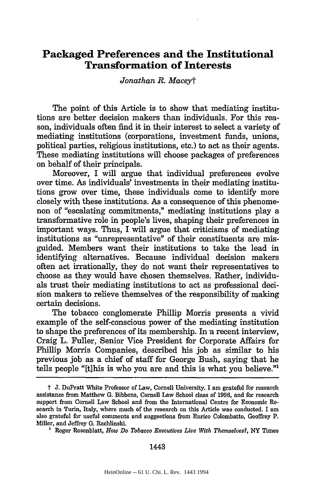# **Packaged Preferences and the Institutional Transformation of Interests**

## *Jonathan R. Maceyt*

The point of this Article is to show that mediating institutions are better decision makers than individuals. For this reason, individuals often find it in their interest to select a variety of mediating institutions (corporations, investment funds, unions, political parties, religious institutions, etc.) to act as their agents. These mediating institutions will choose packages of preferences on behalf of their principals.

Moreover, I will argue that individual preferences evolve over time. As individuals' investments in their mediating institutions grow over time, these individuals come to identify more closely with these institutions. As a consequence of this phenomenon of "escalating commitments," mediating institutions play a transformative role in people's lives, shaping their preferences in important ways. Thus, I will argue that criticisms of mediating institutions as "unrepresentative" of their constituents are misguided. Members want their institutions to take the lead in identifying alternatives. Because individual decision makers often act irrationally, they do not want their representatives to choose as they would have chosen themselves. Rather, individuals trust their mediating institutions to act as professional decision makers to relieve themselves of the responsibility of making certain decisions.

The tobacco conglomerate Phillip Morris presents a vivid example of the self-conscious power of the mediating institution to shape the preferences of its membership. In-a recent interview, Craig L. Fuller, Senior Vice President for Corporate Affairs for Phillip Morris Companies, described his job as similar to his previous job as a chief of staff for George Bush, saying that he tells people "[t]his is who you are and this is what you believe."'

#### 1443

t **J.** DuPratt White Professor of Law, Cornell University. I am grateful for research assistance from Matthew **G.** Bibbens, Cornell Law School class of **1996,** and for research support from Cornell Law School and from the International Centre for Economic Research in Turin, Italy, where much of the research on this Article was conducted. I am also grateful for useful comments and suggestions from Enrico Colombatto, Geoffrey P. Miller, and Jeffrey **G.** Rachlinski. **'** Roger Rosenblatt, *How Do Tobacco Executives Live With Themselves?,* NY Times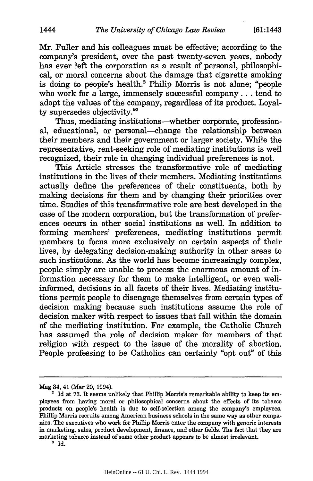Mr. Fuller and his colleagues must be effective; according to the company's president, over the past twenty-seven years, nobody has ever left the corporation as a result of personal, philosophical, or moral concerns about the damage that cigarette smoking is doing to people's health.2 Philip Morris is not alone; "people who work for a large, immensely successful company.., tend to adopt the values of the company, regardless of its product. Loyalty supersedes objectivity."3

Thus, mediating institutions-whether corporate, professional, educational, or personal-change the relationship between their members and their government or larger society. While the representative, rent-seeking role of mediating institutions is well recognized, their role in changing individual preferences is not.

This Article stresses the transformative role of mediating institutions in the lives of their members. Mediating institutions actually define the preferences of their constituents, both by making decisions for them and by changing their priorities over time. Studies of this transformative role are best developed in the case of the modern corporation, but the transformation of preferences occurs in other social institutions as well. In addition to forming members' preferences, mediating institutions permit members to focus more exclusively on certain aspects of their lives, by delegating decision-making authority in other areas to such institutions. As the world has become increasingly complex, people simply are unable to process the enormous amount of information necessary for them to make intelligent, or even wellinformed, decisions in all facets of their lives. Mediating institutions permit people to disengage themselves from certain types of decision making because such institutions assume the role of decision maker with respect to issues that fall within the domain of the mediating institution. For example, the Catholic Church has assumed the role of decision maker for members of that religion with respect to the issue of the morality of abortion. People professing to be Catholics can certainly "opt out" of this

Mag **34,** 41 (Mar 20, 1994).

**<sup>2</sup>** Id at 73. It seems unlikely that Phillip Morris's remarkable ability to keep its employees from having moral or philosophical concerns about the effects of its tobacco products on people's health is due to self-selection among the company's employees. Phillip Morris recruits among American business schools in the same way as other companies. The executives who work for Phillip Morris enter the company with generic interests in marketing, sales, product development, finance, and other fields. The fact that they are marketing tobacco instead of some other product appears to be almost irrelevant.

**<sup>3</sup>**Id.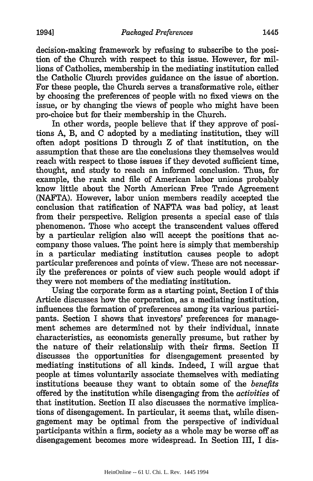decision-making framework by refusing to subscribe to the position of the Church with respect to this issue. However, for millions of Catholics, membership in the mediating institution called the Catholic Church provides guidance on the issue of abortion. For these people, the Church serves a transformative role, either by choosing the preferences of people with no fixed views on the issue, or by changing the views of people who might have been pro-choice but for their membership in the Church.

In other words, people believe that if they approve of positions A, B, and C adopted by a mediating institution, they will often adopt positions D through Z of that institution, on the assumption that these are the conclusions they themselves would reach with respect to those issues if they devoted sufficient time, thought, and study to reach an informed conclusion. Thus, for example, the rank and file of American labor unions probably know little about the North American Free Trade Agreement (NAFTA). However, labor union members readily accepted the conclusion that ratification of NAFTA was bad policy, at least from their perspective. Religion presents a special case of this phenomenon. Those who accept the transcendent values offered by a particular religion also will accept the positions that accompany those values. The point here is simply that membership in a particular mediating institution causes people to adopt particular preferences and points of view. These are not necessarily the preferences or points of view such people would adopt if they were not members of the mediating institution.

Using the corporate form as a starting point, Section I of this Article discusses how the corporation, as a mediating institution, influences the formation of preferences among its various participants. Section I shows that investors' preferences for management schemes are determined not by their individual, innate characteristics, as economists generally presume, but rather by the nature of their relationship with their firms. Section II discusses the opportunities for disengagement presented by mediating institutions of all kinds. Indeed, I will argue that people at times voluntarily associate themselves with mediating institutions because they want to obtain some of the *benefits* offered by the institution while disengaging from the *activities* of that institution. Section II also discusses the normative implications of disengagement. In particular, it seems that, while disengagement may be optimal from the perspective of individual participants within a firm, society as a whole may be worse off as disengagement becomes more widespread. In Section III, I dis-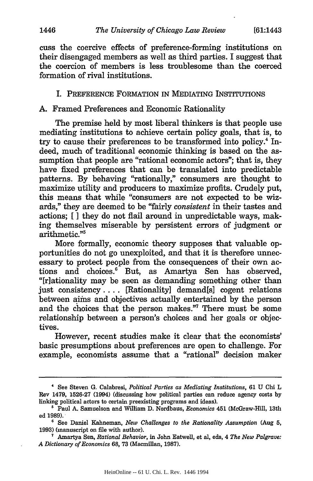cuss the coercive effects of preference-forming institutions on their disengaged members as well as third parties. I suggest that the coercion of members is less troublesome than the coerced formation of rival institutions.

#### I. PREFERENCE FORMATION IN MEDIATING INSTITUTIONS

### A. Framed Preferences and Economic Rationality

The premise held by most liberal thinkers is that people use mediating institutions to achieve certain policy goals, that is, to try to cause their preferences to be transformed into policy.<sup>4</sup> Indeed, much of traditional economic thinking is based on the assumption that people are "rational economic actors"; that is, they have fixed preferences that can be translated into predictable patterns. By behaving "rationally," consumers are thought to maximize utility and producers to maximize profits. Crudely put, this means that while "consumers are not expected to be wizards," they are deemed to be "fairly *consistent* in their tastes and actions; [ ] they do not flail around in unpredictable ways, making themselves miserable by persistent errors of judgment or arithmetic."5

More formally, economic theory supposes that valuable opportunities do not go unexploited, and that it is therefore unnecessary to protect people from the consequences of their own actions and choices.<sup>6</sup> But, as Amartya Sen has observed, "[r]ationality may be seen as demanding something other than just consistency **....** [Rationality] demand[s] cogent relations between aims and objectives actually entertained by the person and the choices that the person makes."' There must be some relationship between a person's choices and her goals or objectives.

However, recent studies make it clear that the economists' basic presumptions about preferences are open to challenge. For example, economists assume that a "rational" decision maker

**<sup>&#</sup>x27;** See Steven **G.** Calabresi, *Political Parties as Mediating Institutions,* **61 U** Chi L Rev 1479, 1526-27 (1994) (discussing how political parties can reduce agency costs by linking political actors to certain preexisting programs and ideas).

**<sup>&#</sup>x27;** Paul A. Samuelson and William D. Nordhaus, *Economics* 451 (McGraw-Hill, 13th ed 1989).

<sup>6</sup> See Daniel Kahneman, *New Challenges to the Rationality Assumption* (Aug **5,** 1993) (manuscript on file with author).

Amartya Sen, *Rational Behavior,* in John Eatwell, et al, eds, 4 *The New Palgrave: A Dictionary* of *Economics* **68,** 73 (Macmillan, 1987).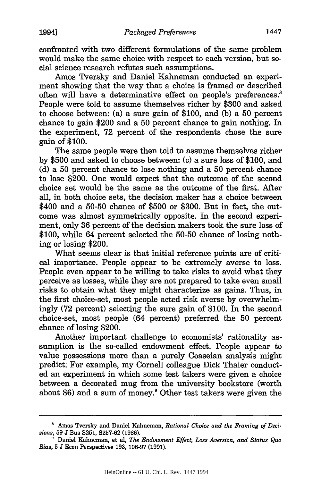confronted with two different formulations of the same problem would make the same choice with respect to each version, but social science research refutes such assumptions.

Amos Tversky and Daniel Kahneman conducted an experiment showing that the way that a choice is framed or described often will have a determinative effect on people's preferences.<sup>8</sup> People were told to assume themselves richer by \$300 and asked to choose between: (a) a sure gain of \$100, and (b) a 50 percent chance to gain \$200 and a 50 percent chance to gain nothing. In the experiment, 72 percent of the respondents chose the sure gain of \$100.

The same people were then told to assume themselves richer by \$500 and asked to choose between: (c) a sure loss of \$100, and (d) a 50 percent chance to lose nothing and a 50 percent chance to lose \$200. One would expect that the outcome of the second choice set would be the same as the outcome of the first. After all, in both choice sets, the decision maker has a choice between \$400 and a 50-50 chance of \$500 or \$300. But in fact, the outcome was almost symmetrically opposite. In the second experiment, only 36 percent of the decision makers took the sure loss of \$100, while 64 percent selected the 50-50 chance of losing nothing or losing \$200.

What seems clear is that initial reference points are of critical importance. People appear to be extremely averse to loss. People even appear to be willing to take risks to avoid what they perceive as losses, while they are not prepared to take even small risks to obtain what they might characterize as gains. Thus, in the first choice-set, most people acted risk averse by overwhelmingly (72 percent) selecting the sure gain of \$100. In the second choice-set, most people (64 percent) preferred the 50 percent chance of losing \$200.

Another important challenge to economists' rationality assumption is the so-called endowment effect. People appear to value possessions more than a purely Coaseian analysis might predict. For example, my Cornell colleague Dick Thaler conducted an experiment in which some test takers were given a choice between a decorated mug from the university bookstore (worth about \$6) and a sum of money.9 Other test takers were given the

**<sup>&</sup>quot;** Amos Tversky and Daniel Kahneman, *Rational Choice and the Framing of Decisions, 59* **J** Bus **S251, S257-62 (1986).**

**<sup>&#</sup>x27;** Daniel Kahneman, et al, *The Endowment Effect, Loss Aversion, and Status Quo Bias,* **5 J** Econ Perspectives **193, 196-97 (1991).**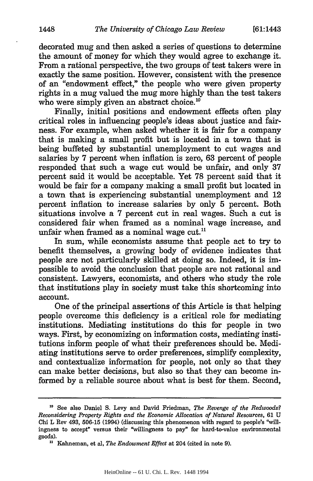decorated mug and then asked a series of questions to determine the amount of money for which they would agree to exchange it. From a rational perspective, the two groups of test takers were in exactly the same position. However, consistent with the presence of an "endowment effect," the people who were given property rights in a mug valued the mug more highly than the test takers who were simply given an abstract choice.<sup>10</sup>

Finally, initial positions and endowment effects often play critical roles in influencing people's ideas about justice and fairness. For example, when asked whether it is fair for a company that is making a small profit but is located in a town that is being buffeted by substantial unemployment to cut wages and salaries by 7 percent when inflation is zero, 63 percent of people responded that such a wage cut would be unfair, and only 37 percent said it would be acceptable. Yet 78 percent said that it would be fair for a company making a small profit but located in a town that is experiencing substantial unemployment and 12 percent inflation to increase salaries by only 5 percent. Both situations involve a 7 percent cut in real wages. Such a cut is considered fair when framed as a nominal wage increase, and unfair when framed as a nominal wage cut.<sup>11</sup>

In sum, while economists assume that people act to try to benefit themselves, a growing body of evidence indicates that people are not particularly skilled at doing so. Indeed, it is impossible to avoid the conclusion that people are not rational and consistent. Lawyers, economists, and others who study the role that institutions play in society must take this shortcoming into account.

One of the principal assertions of this Article is that helping people overcome this deficiency is a critical role for mediating institutions. Mediating institutions do this for people in two ways. First, by economizing on information costs, mediating institutions inform people of what their preferences should be. Mediating institutions serve to order preferences, simplify complexity, and contextualize information for people, not only so that they can make better decisions, but also so that they can become informed by a reliable source about what is best for them. Second,

**<sup>10</sup>**See also Daniel S. Levy and David Friedman, *The Revenge of the Redwoods? Reconsidering Property Rights and the Economic Allocation of Natural Resources,* 61 U **Chi** L Rev 493, 506-15 (1994) (discussing this phenomenon with regard to people's "willingness to accept" versus their "willingness to pay" for hard-to-value environmental goods).

**<sup>&</sup>quot;** Kahneman, et al, *The Endowment Effect* at 204 (cited in note 9).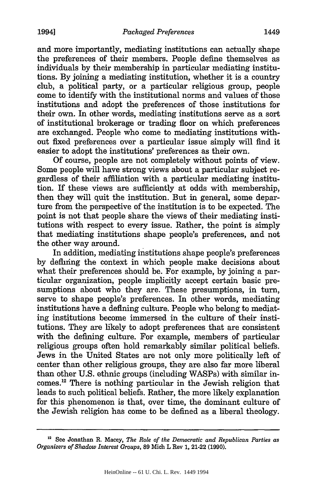and more importantly, mediating institutions can actually shape the preferences of their members. People define themselves as individuals by their membership in particular mediating institutions. By joining a mediating institution, whether it is a country club, a political party, or a particular religious group, people come to identify with the institutional norms and values of those institutions and adopt the preferences of those institutions for their own. In other words, mediating institutions serve as a sort of institutional brokerage or trading floor on which preferences are exchanged. People who come to mediating institutions without fixed preferences over a particular issue simply will find it easier to adopt the institutions' preferences as their own.

Of course, people are not completely without points of view. Some people will have strong views about a particular subject regardless of their affiliation with a particular mediating institution. If these views are sufficiently at odds with membership, then they will quit the institution. But in general, some departure from the perspective of the institution is to be expected. The point is not that people share the views of their mediating institutions with respect to every issue. Rather, the point is simply that mediating institutions shape people's preferences, and not the other way around.

In addition, mediating institutions shape people's preferences by defining the context in which people make decisions about what their preferences should be. For example, by joining a particular organization, people implicitly accept certain basic presumptions about who they are. These presumptions, in turn, serve to shape people's preferences. In other words, mediating institutions have a defining culture. People who belong to mediating institutions become immersed in the culture of their institutions. They are likely to adopt preferences that are consistent with the defining culture. For example, members of particular religious groups often hold remarkably similar political beliefs. Jews in the United States are not only more politically left of center than other religious groups, they are also far more liberal than other U.S. ethnic groups (including WASPs) with similar incomes.<sup>12</sup> There is nothing particular in the Jewish religion that leads to such political beliefs. Rather, the more likely explanation for this phenomenon is that, over time, the dominant culture of the Jewish religion has come to be defined as a liberal theology.

**<sup>2</sup>**See Jonathan R. Macey, *The Role of the Democratic and Republican Parties as Organizers of Shadow Interest Groups,* **89** Mich L Rev 1, 21-22 (1990).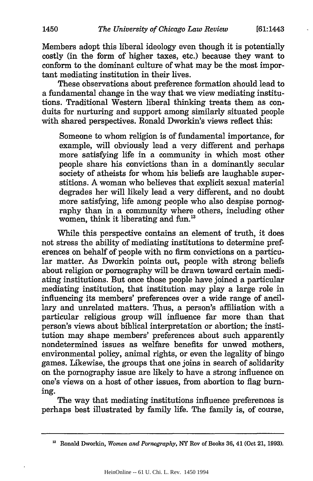Members adopt this liberal ideology even though it is potentially costly (in the form of higher taxes, etc.) because they want to conform to the dominant culture of what may be the most important mediating institution in their lives.

These observations about preference formation should lead to a fundamental change in the way that we view mediating institutions. Traditional Western liberal thinking treats them as conduits for nurturing and support among similarly situated people with shared perspectives. Ronald Dworkin's views reflect this:

Someone to whom religion is of fundamental importance, for example, will obviously lead a very different and perhaps more satisfying life in a community in which most other people share his convictions than in a dominantly secular society of atheists for whom his beliefs are laughable superstitions. A woman who believes that explicit sexual material degrades her will likely lead a very different, and no doubt more satisfying, life among people who also despise pornography than in a community where others, including other women, think it liberating and fun.<sup>13</sup>

While this perspective contains an element of truth, it does not stress the ability of mediating institutions to determine preferences on behalf of people with no firm convictions on a particular matter. As Dworkin points out, people with strong beliefs about religion or pornography will be drawn toward certain mediating institutions. But once those people have joined a particular mediating institution, that institution may play a large role in influencing its members' preferences over a wide range of ancillary and unrelated matters. Thus, a person's affiliation with a particular religious group will influence far more than that person's views about biblical interpretation or abortion; the institution may shape members' preferences about such apparently nondetermined issues as welfare benefits for unwed mothers, environmental policy, animal rights, or even the legality of bingo games. Likewise, the groups that one joins in search of solidarity on the pornography issue are likely to have a strong influence on one's views on a host of other issues, from abortion to flag burning.

The way that mediating institutions influence preferences is perhaps best illustrated by family life. The family is, of course,

<sup>&</sup>lt;sup>13</sup> Ronald Dworkin, *Women and Pornography*, NY Rov of Books 36, 41 (Oct 21, 1993).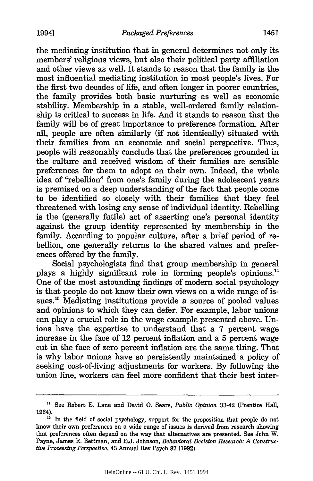the mediating institution that in general determines not only its members' religious views, but also their political party affiliation and other views as well. It stands to reason that the family is the most influential mediating institution in most people's lives. For the first two decades of life, and often longer in poorer countries, the family provides both basic nurturing as well as economic stability. Membership in a stable, well-ordered family relationship is critical to success in life. And it stands to reason that the family will be of great importance to preference formation. After all, people are often similarly (if not identically) situated with their families from an economic and social perspective. Thus, people will reasonably conclude that the preferences grounded in the culture and received wisdom of their families are sensible preferences for them to adopt on their own. Indeed, the whole idea of "rebellion" from one's family during the adolescent years is premised on a deep understanding of the fact that people come to be identified so closely with their families that they feel threatened with losing any sense of individual identity. Rebelling is the (generally futile) act of asserting one's personal identity against the group identity represented by membership in the family. According to popular culture, after a brief period of rebellion, one generally returns to the shared values and preferences offered by the family.

Social psychologists find that group membership in general plays a highly significant role in forming people's opinions.<sup>14</sup> One of the most astounding findings of modern social psychology is that people do not know their own views on a wide range of issues.15 Mediating institutions provide a source of pooled values and opinions to which they can defer. For example, labor unions can play a crucial role in the wage example presented above. Unions have the expertise to understand that a 7 percent wage increase in the face of 12 percent inflation and a 5 percent wage cut in the face of zero percent inflation are the same thing. That is why labor unions have so persistently maintained a policy of seeking cost-of-living adjustments for workers. By following the union line, workers can feel more confident that their best inter-

**<sup>&</sup>quot;** See Robert **E.** Lane and David **0.** Sears, *Public Opinion* 33-42 (Prentice Hall, 1964).

<sup>&</sup>lt;sup>15</sup> In the field of social psychology, support for the proposition that people do not know their own preferences on a wide range of issues is derived from research showing that preferences often depend on the way that alternatives are presented. See John W. Payne, James R. Bettman, and E.J. Johnson, *Behavioral Decision Research: A Constructive Processing Perspective,* 43 Annual Rev Psych **87** (1992).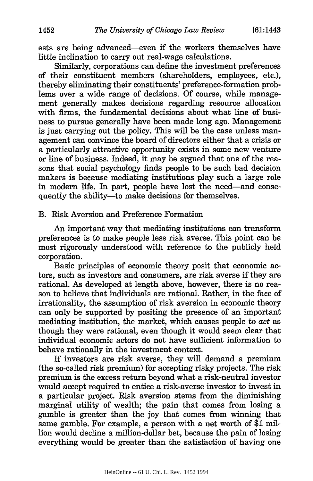ests are being advanced-even if the workers themselves have little inclination to carry out real-wage calculations.

Similarly, corporations can define the investment preferences of their constituent members (shareholders, employees, etc.), thereby eliminating their constituents' preference-formation problems over a wide range of decisions. Of course, while management generally makes decisions regarding resource allocation with firms, the fundamental decisions about what line of business to pursue generally have been made long ago. Management is just carrying out the policy. This will be the case unless management can convince the board of directors either that a crisis or a particularly attractive opportunity exists in some new venture or line of business. Indeed, it may be argued that one of the reasons that social psychology finds people to be such bad decision makers is because mediating institutions play such a large role in modern life. In part, people have lost the need-and consequently the ability-to make decisions for themselves.

#### B. Risk Aversion and Preference Formation

An important way that mediating institutions can transform preferences is to make people less risk averse. This point can be most rigorously understood with reference to the publicly held corporation.

Basic principles of economic theory posit that economic actors, such as investors and consumers, are risk averse if they are rational. As developed at length above, however, there is no reason to believe that individuals are rational. Rather, in the face of irrationality, the assumption of risk aversion in economic theory can only be supported by positing the presence of an important mediating institution, the market, which causes people to *act* as though they were rational, even though it would seem clear that individual economic actors do not have sufficient information to behave rationally in the investment context.

If investors are risk averse, they will demand a premium (the so-called risk premium) for accepting risky projects. The risk premium is the excess return beyond what a risk-neutral investor would accept required to entice a risk-averse investor to invest in a particular project. Risk aversion stems from the diminishing marginal utility of wealth; the pain that comes from losing a gamble is greater than the joy that comes from winning that same gamble. For example, a person with a net worth of \$1 million would decline a million-dollar bet, because the pain of losing everything would be greater than the satisfaction of having one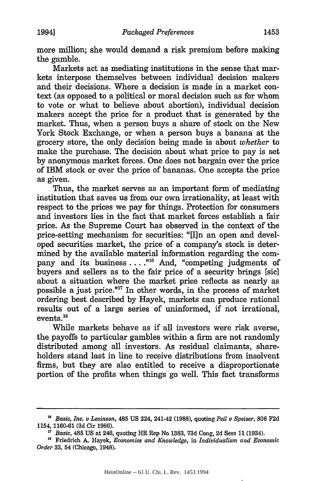more million; she would demand a risk premium before making the gamble.

Markets act as mediating institutions in the sense that markets interpose themselves between individual decision makers and their decisions. Where a decision is made in a market context (as opposed to a political or moral decision such as for whom to vote or what to believe about abortion), individual decision makers accept the price for a product that is generated by the market. Thus, when a person buys a share of stock on the New York Stock Exchange, or when a person buys a banana at the grocery store, the only decision being made is about *whether* to make the purchase. The decision about what price to pay is set by anonymous market forces. One does not bargain over the price of IBM stock or over the price of bananas. One accepts the price as given.

Thus, the market serves as an important form of mediating institution that saves us from our own irrationality, at least with respect to the prices we pay for things. Protection for consumers and investors lies in the fact that market forces establish a fair price. As the Supreme Court has observed in the context of the price-setting mechanism for securities: "[Iln an open and developed securities market, the price of a company's stock is determined by the available material information regarding the company and its business ....<sup>"16</sup> And, "competing judgments of buyers and sellers as to the fair price of a security brings [sic] about a situation where the market price reflects as nearly as possible a just price."<sup>17</sup> In other words, in the process of market ordering best described by Hayek, markets can produce rational results out of a large series of uninformed, if not irrational, events.<sup>18</sup>

While markets behave as if all investors were risk averse, the payoffs to particular gambles within a firm are not randomly distributed among all investors. As residual claimants, shareholders stand last in line to receive distributions from insolvent firms, but they are also entitled to receive a disproportionate portion of the profits when things go well. This fact transforms

**<sup>1</sup>***Basic, Inc.* **v** *Levinson,* 485 **US** 224, 241-42 **(1988),** quoting *Peil v Speiser,* **806 F2d** 1154, 1160-61 **(3d** Cir 1986).

<sup>,</sup> *Basic,* 485 US at 246, quoting HR Rep No **1383,** 73d Cong, 2d Sess 11 (1934).

**<sup>18</sup>**Friedrich A. Hayek, *Economics and Knowledge,* in *Individualism and Economic Order* 33, 54 (Chicago, 1948).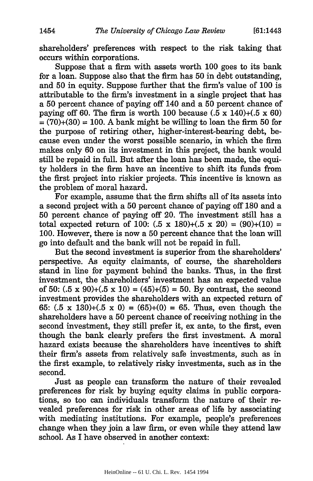shareholders' preferences with respect to the risk taking that occurs within corporations.

Suppose that a firm with assets worth 100 goes to its bank for a loan. Suppose also that the firm has 50 in debt outstanding, and 50 in equity. Suppose further that the firm's value of 100 is attributable to the firm's investment in a single project that has a 50 percent chance of paying off 140 and a 50 percent chance of paying off 60. The firm is worth 100 because  $(.5 \times 140)+(.5 \times 60)$  $= (70)+(30) = 100$ . A bank might be willing to loan the firm 50 for the purpose of retiring other, higher-interest-bearing debt, because even under the worst possible scenario, in which the firm makes only 60 on its investment in this project, the bank would still be repaid in full. But after the loan has been made, the equity holders in the firm have an incentive to shift its funds from the first project into riskier projects. This incentive is known as the problem of moral hazard.

For example, assume that the firm shifts all of its assets into a second project with a 50 percent chance of paying off 180 and a 50 percent chance of paying off 20. The investment still has a total expected return of 100:  $(0.5 \times 180)+(0.5 \times 20) = (90)+(10) =$ 100. However, there is now a 50 percent chance that the loan will go into default and the bank will not be repaid in full.

But the second investment is superior from the shareholders' perspective. As equity claimants, of course, the shareholders stand in line for payment behind the banks. Thus, in the first investment, the shareholders' investment has an expected value of 50:  $(.5 \times 90)+(.5 \times 10) = (45)+(5) = 50$ . By contrast, the second investment provides the shareholders with an expected return of 65:  $(.5 \times 130)+(.5 \times 0) = (65)+(0) = 65$ . Thus, even though the shareholders have a 50 percent chance of receiving nothing in the second investment, they still prefer it, ex ante, to the first, even though the bank clearly prefers the first investment. A moral hazard exists because the shareholders have incentives to shift their firm's assets from relatively safe investments, such as in the first example, to relatively risky investments, such as in the second.

Just as people can transform the nature of their revealed preferences for risk by buying equity claims in public corporations, so too can individuals transform the nature of their revealed preferences for risk in other areas of life by associating with mediating institutions. For example, people's preferences change when they join a law firm, or even while they attend law school. As I have observed in another context: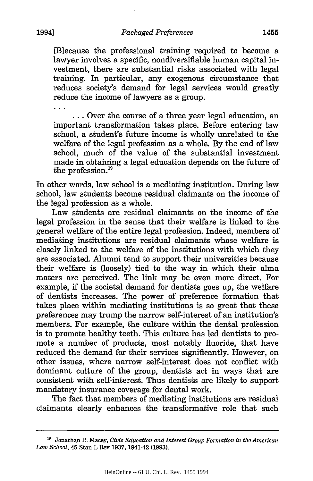[Blecause the professional training required to become a lawyer involves a specific, nondiversifiable human capital investment, there are substantial risks associated with legal training. In particular, any exogenous circumstance that reduces society's demand for legal services would greatly reduce the income of lawyers as a group.

**...** Over the course of a three year legal education, an important transformation takes place. Before entering law school, a student's future income is wholly unrelated to the welfare of the legal profession as a whole. By the end of law school, much of the value of the substantial investment made in obtaining a legal education depends on the future of the profession. $^{19}$ 

In other words, law school is a mediating institution. During law school, law students become residual claimants on the income of the legal profession as a whole.

Law students are residual claimants on the income of the legal profession in the sense that their welfare is linked to the general welfare of the entire legal profession. Indeed, members of mediating institutions are residual claimants whose welfare is closely linked to the welfare of the institutions with which they are associated. Alumni tend to support their universities because their welfare is (loosely) tied to the way in which their alma maters are perceived. The link may be even more direct. For example, if the societal demand for dentists goes up, the welfare of dentists increases. The power of preference formation that takes place within mediating institutions is so great that these preferences may trump the narrow self-interest of an institution's members. For example, the culture within the dental profession is to promote healthy teeth. This culture has led dentists to promote a number of products, most notably fluoride, that have reduced the demand for their services significantly. However, on other issues, where narrow self-interest does not conflict with dominant culture of the group, dentists act in ways that are consistent with self-interest. Thus dentists are likely to support mandatory insurance coverage for dental work.

The fact that members of mediating institutions are residual claimants clearly enhances the transformative role that such

**<sup>19</sup>**Jonathan R. Macey, *Civic Education and Interest Group Formation in the American Law School,* 45 Stan L Rev **1937,** 1941-42 **(1993).**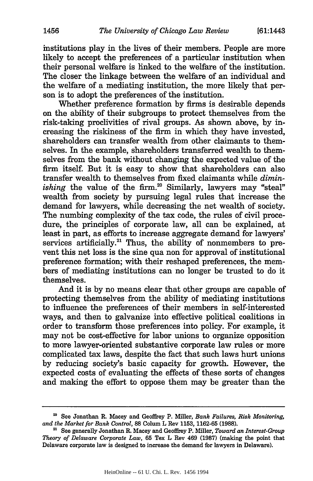institutions play in the lives of their members. People are more likely to accept the preferences of a particular institution when their personal welfare is linked to the welfare of the institution. The closer the linkage between the welfare of an individual and the welfare of a mediating institution, the more likely that person is to adopt the preferences of the institution.

Whether preference formation by firms is desirable depends on the ability of their subgroups to protect themselves from the risk-taking proclivities of rival groups. As shown above, by increasing the riskiness of the firm in which they have invested, shareholders can transfer wealth from other claimants to themselves. In the example, shareholders transferred wealth to themselves from the bank without changing the expected value of the firm itself. But it is easy to show that shareholders can also transfer wealth to themselves from fixed claimants while *diminishing* the value of the firm.<sup>20</sup> Similarly, lawyers may "steal" wealth from society by pursuing legal rules that increase the demand for lawyers, while decreasing the net wealth of society. The numbing complexity of the tax code, the rules of civil procedure, the principles of corporate law, all can be explained, at least in part, as efforts to increase aggregate demand for lawyers' services artificially.<sup>21</sup> Thus, the ability of nonmembers to prevent this net loss is the sine qua non for approval of institutional preference formation; with their reshaped preferences, the members of mediating institutions can no longer be trusted to do it themselves.

And it is by no means clear that other groups are capable of protecting themselves from the ability of mediating institutions to influence the preferences of their members in self-interested ways, and then to galvanize into effective political coalitions in order to transform those preferences into policy. For example, it may not be cost-effective for labor unions to organize opposition to more lawyer-oriented substantive corporate law rules or more complicated tax laws, despite the fact that such laws hurt unions by reducing society's basic capacity for growth. However, the expected costs of evaluating the effects of these sorts of changes and making the effort to oppose them may be greater than the

**<sup>2</sup>**See Jonathan R. Macey and Geoffrey P. Miller, *Bank Failures, Risk Monitoring, and the Market for Bank Control,* **88** Colum L Rev **1153,** 1162-65 (1988).

<sup>&</sup>lt;sup>21</sup> See generally Jonathan R. Macey and Geoffrey P. Miller, *Toward an Interest-Group Theory of Delaware Corporate Law,* **65** Tex L Rev 469 (1987) (making the point that Delaware corporate law is designed to increase the demand for lawyers in Delaware).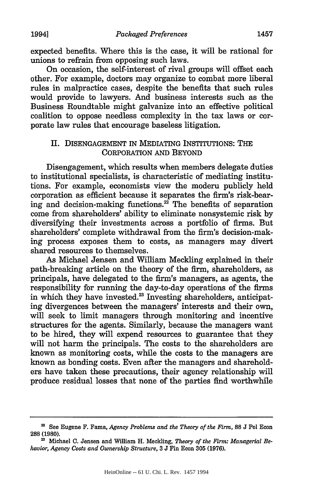expected benefits. Where this is the case, it will be rational for unions to refrain from opposing such laws.

On occasion, the self-interest of rival groups will offset each other. For example, doctors may organize to combat more liberal rules in malpractice cases, despite the benefits that such rules would provide to lawyers. And business interests such as the Business Roundtable might galvanize into an effective political coalition to oppose needless complexity in the tax laws or corporate law rules that encourage baseless litigation.

#### II. DISENGAGEMENT IN MEDIATING INSTITUTIONS: THE CORPORATION AND BEYOND

Disengagement, which results when members delegate duties to institutional specialists, is characteristic of mediating institutions. For example, economists view the modern publicly held corporation as efficient because it separates the firm's risk-bearing and decision-making functions. $2^2$  The benefits of separation come from shareholders' ability to eliminate nonsystemic risk by diversifying their investments across a portfolio of firms. But shareholders' complete withdrawal from the firm's decision-making process exposes them to costs, as managers may divert shared resources to themselves.

As Michael Jensen and William Meckling explained in their path-breaking article on the theory of the firm, shareholders, as principals, have delegated to the firm's managers, as agents, the responsibility for running the day-to-day operations of the firms in which they have invested.<sup>23</sup> Investing shareholders, anticipating divergences between the managers' interests and their own, will seek to limit managers through monitoring and incentive structures for the agents. Similarly, because the managers want to be hired, they will expend resources to guarantee that they will not harm the principals. The costs to the shareholders are known as monitoring costs, while the costs to the managers are known as bonding costs. Even after the managers and shareholders have taken these precautions, their agency relationship will produce residual losses that none of the parties find worthwhile

<sup>&</sup>lt;sup>22</sup> See Eugene F. Fama, *Agency Problems and the Theory of the Firm*, 88 J Pol Econ **288 (1980).**

**<sup>&</sup>quot;** Michael **C.** Jensen and William H. Meckling, *Theory of the Firm: Managerial Behavior, Agency Costs and Ownership Structure,* **3 J** Fin Econ **305 (1976).**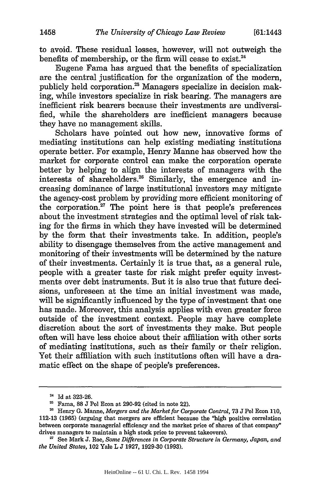to avoid. These residual losses, however, will not outweigh the benefits of membership, or the firm will cease to exist.<sup>24</sup>

Eugene Fama has argued that the benefits of specialization are the central justification for the organization of the modern, publicly held corporation." Managers specialize in decision making, while investors specialize in risk bearing. The managers are inefficient risk bearers because their investments are undiversified, while the shareholders are inefficient managers because they have no management skills.

Scholars have pointed out how new, innovative forms of mediating institutions can help existing mediating institutions operate better. For example, Henry Manne has observed how the market for corporate control can make the corporation operate better by helping to align the interests of managers with the interests of shareholders.<sup>26</sup> Similarly, the emergence and increasing dominance of large institutional investors may mitigate the agency-cost problem by providing more efficient monitoring of the corporation.<sup>27</sup> The point here is that people's preferences about the investment strategies and the optimal level of risk taking for the firms in which they have invested will be determined by the form that their investments take. In addition, people's ability to disengage themselves from the active management and monitoring of their investments will be determined by the nature of their investments. Certainly it is true that, as a general rule, people with a greater taste for risk might prefer equity investments over debt instruments. But it is also true that future decisions, unforeseen at the time an initial investment was made, will be significantly influenced by the type of investment that one has made. Moreover, this analysis applies with even greater force outside of the investment context. People may have complete discretion about the sort of investments they make. But people often will have less choice about their affiliation with other sorts of mediating institutions, such as their family or their religion. Yet their affiliation with such institutions often will have a dramatic effect on the shape of people's preferences.

**<sup>24</sup>**Id at 323-26.

<sup>&</sup>lt;sup>25</sup> Fama, 88 J Pol Econ at 290-92 (cited in note 22).

**<sup>26</sup>**Henry **G.** Manne, *Mergers and the Market for Corporate Control,* 73 J Pol Econ 110, 112-13 (1965) (arguing that mergers are efficient because the "high positive correlation between corporate managerial efficiency and the market price of shares of that company" drives managers to maintain a high stock price to prevent takeovers).

**<sup>27</sup>**See Mark **J.** Roe, *Some Differences in Corporate Structure in Germany, Japan, and the United States,* 102 Yale L J 1927, 1929-30 (1993).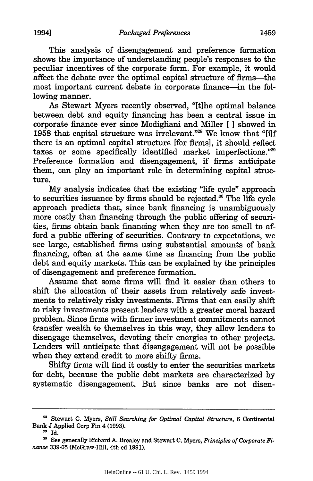This analysis of disengagement and preference formation shows the importance of understanding people's responses to the peculiar incentives of the corporate form. For example, it would affect the debate over the optimal capital structure of firms-the most important current debate in corporate finance-in the following manner.

As Stewart Myers recently observed, "[tihe optimal balance between debt and equity financing has been a central issue in corporate finance ever since Modigliani and Miller [ **I** showed in 1958 that capital structure was irrelevant."<sup>28</sup> We know that "[i]f there is an optimal capital structure [for firms], it should reflect taxes or some specifically identified market imperfections."29 Preference formation and disengagement, if firms anticipate them, can play an important role in determining capital structure.

My analysis indicates that the existing "life cycle" approach to securities issuance by firms should be rejected. $30$  The life cycle approach predicts that, since bank financing is unambiguously more costly than financing through the public offering of securities, firms obtain bank financing when they are too small to afford a public offering of securities. Contrary to expectations, we see large, established firms using substantial amounts of bank financing, often at the same time as financing from the public debt and equity markets. This can be explained by the principles of disengagement and preference formation.

Assume that some firms will find it easier than others to shift the allocation of their assets from relatively safe investments to relatively risky investments. Firms that can easily shift to risky investments present lenders with a greater moral hazard problem. Since firms with firmer investment commitments cannot transfer wealth to themselves in this way, they allow lenders to disengage themselves, devoting their energies to other projects. Lenders will anticipate that disengagement will not be possible when they extend credit to more shifty firms.

Shifty firms will find it costly to enter the securities markets for debt, because the public debt markets are characterized by systematic disengagement. But since banks are not disen-

**<sup>&#</sup>x27;** Stewart **C.** Myers, *Still Searching for Optimal Capital Structure,* **6** Continental Bank **J** Applied Corp Fin 4 **(1993).**

**<sup>2</sup>**Id.

**<sup>&#</sup>x27;** See generally Richard **A.** Brealey and Stewart **C.** Myers, *Principles of Corporate* Fi*nance* **339-65** (McGraw-Hill, 4th ed **1991).**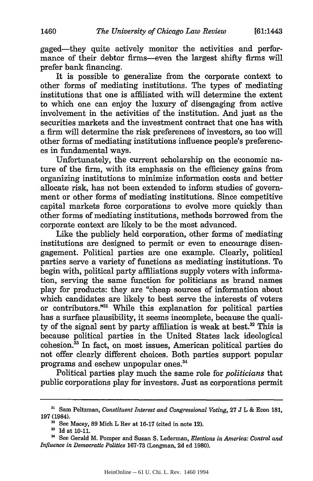gaged-they quite actively monitor the activities and performance of their debtor firms-even the largest shifty firms will prefer bank financing.

It is possible to generalize from the corporate context to other forms of mediating institutions. The types of mediating institutions that one is affiliated with will determine the extent to which one can enjoy the luxury of disengaging from active involvement in the activities of the institution. And just as the securities markets and the investment contract that one has with a firm will determine the risk preferences of investors, so too will other forms of mediating institutions influence people's preferences in fundamental ways.

Unfortunately, the current scholarship on the economic nature of the firm, with its emphasis on the efficiency gains from organizing institutions to minimize information costs and better allocate risk, has not been extended to inform studies of government or other forms of mediating institutions. Since competitive capital markets force corporations to evolve more quickly than other forms of mediating institutions, methods borrowed from the corporate context are likely to be the most advanced.

Like the publicly held corporation, other forms of mediating institutions are designed to permit or even to encourage disengagement. Political parties are one example. Clearly, political parties serve a variety of functions as mediating institutions. To begin with, political party affiliations supply voters with information, serving the same function for politicians as brand names play for products: they are "cheap sources of information about which candidates are likely to best serve the interests of voters or contributors."<sup>31</sup> While this explanation for political parties has a surface plausibility, it seems incomplete, because the quality of the signal sent by party affiliation is weak at best.<sup>32</sup> This is because political parties in the United States lack ideological cohesion.33 In fact, on most issues, American political parties do not offer clearly different choices. Both parties support popular programs and eschew unpopular ones. <sup>4</sup>

Political parties play much the same role for *politicians* that public corporations play for investors. Just as corporations permit

**<sup>31</sup>**Sam Peltzman, *Constituent Interest and Congressional Voting,* 27 J L & Econ 181, 197 (1984).

<sup>&</sup>lt;sup>32</sup> See Macey, 89 Mich L Rev at 16-17 (cited in note 12).

**<sup>3</sup>**Id at 10-11.

**<sup>&#</sup>x27;** See Gerald M. Pomper and Susan **S.** Lederman, *Elections in America: Control and Influence in Democratic Politics* 167-73 (Longman, 2d ed 1980).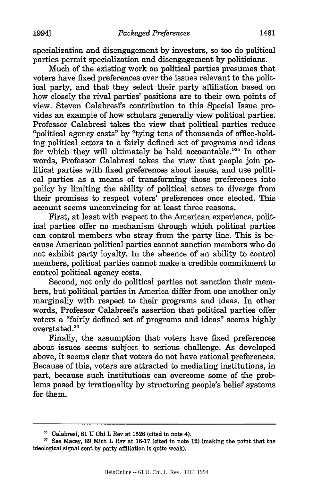specialization and disengagement **by** investors, so too do political parties permit specialization and disengagement **by** politicians.

Much of the existing work on political parties presumes that voters have fixed preferences over the issues relevant to the political party, and that they select their party affiliation based on how closely the rival parties' positions are to their own points of view. Steven Calabresi's contribution to this Special Issue provides an example of how scholars generally view political parties. Professor Calabresi takes the view that political parties reduce "political agency costs" by "tying tens of thousands of office-holding political actors to a fairly defined set of programs and ideas for which they will ultimately be held accountable."35 In other words, Professor Calabresi takes the view that people join political parties with fixed preferences about issues, and use political parties as a means of transforming those preferences into policy by limiting the ability of political actors to diverge from their promises to respect voters' preferences once elected. This account seems unconvincing for at least three reasons.

First, at least with respect to the American experience, political parties offer no mechanism through which political parties can control members who stray from the party line. This is because American political parties cannot sanction members who do not exhibit party loyalty. In the absence of an ability to control members, political parties cannot make a credible commitment to control political agency costs.

Second, not only do political parties not sanction their members, but political parties in America differ from one another only marginally with respect to their programs and ideas. In other words, Professor Calabresi's assertion that political parties offer voters a "fairly defined set of programs and ideas" seems highly overstated.<sup>36</sup>

Finally, the assumption that voters have fixed preferences about issues seems subject to serious challenge. As developed above, it seems clear that voters do not have rational preferences. Because of this, voters are attracted to mediating institutions, in part, because such institutions can overcome some of the problems posed by irrationality by structuring people's belief systems for them.

Calabresi, **61 U** Chi L Rev at **1526** (cited in note 4).

See Macey, **89** Mich L Rev at 16-17 (cited in note 12) (making the point that the ideological signal sent by party affiliation is quite weak).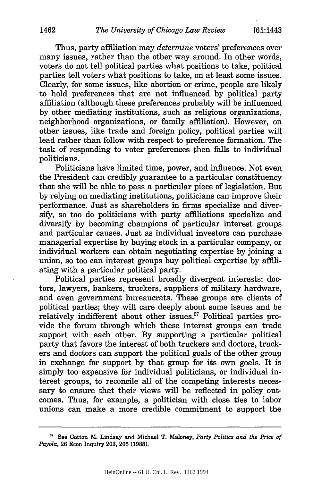Thus, party affiliation may *determine* voters' preferences over many issues, rather than the other way around. In other words, voters do not tell political parties what positions to take, political parties tell voters what positions to take, on at least some issues. Clearly, for some issues, like abortion or crime, people are likely to hold preferences that are not influenced by political party affiliation (although these preferences probably will be influenced by other mediating institutions, such as religious organizations, neighborhood organizations, or family affiliation). However, on other issues, like trade and foreign policy, political parties will lead rather than follow with respect to preference formation. The task of responding to voter preferences then falls to individual politicians.

Politicians have limited time, power, and influence. Not even the President can credibly guarantee to a particular constituency that she will be able to pass a particular piece of legislation. But by relying on mediating institutions, politicians can improve their performance. Just as shareholders in firms specialize and diversify, so too do politicians with party affiliations specialize and diversify by becoming champions of particular interest groups and particular causes. Just as individual investors can purchase managerial expertise by buying stock in a particular company, or individual workers can obtain negotiating expertise by joining a union, so too can interest groups buy political expertise by affiliating with a particular political party.

Political parties represent broadly divergent interests: doctors, lawyers, bankers, truckers, suppliers of military hardware, and even government bureaucrats. These groups are clients of political parties; they will care deeply about some issues and be relatively indifferent about other issues.<sup>37</sup> Political parties provide the forum through which these interest groups can trade support with each other. By supporting a particular political party that favors the interest of both truckers and doctors, truckers and doctors can support the political goals of the other group in exchange for support by that group for its own goals. It is simply too expensive for individual politicians, or individual interest groups, to reconcile all of the competing interests necessary to ensure that their views will be reflected in policy outcomes. Thus, for example, a politician with close ties to labor unions can make a more credible commitment to support the

**<sup>&</sup>quot;** See Cotton M. Lindsay and Michael T. Maloney, *Party Politics and the Price of Payola,* 26 Econ Inquiry 203, 205 (1988).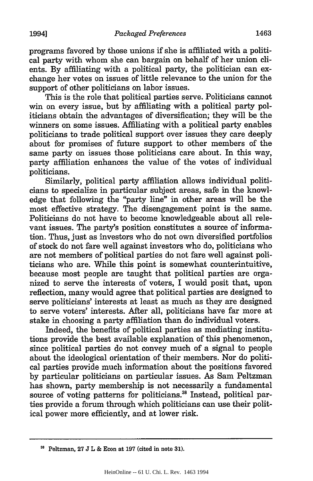programs favored by those unions if she is affiliated with a political party with whom she can bargain on behalf of her union clients. By affiliating with a political party, the politician can exchange her votes on issues of little relevance to the union for the support of other politicians on labor issues.

This is the role that political parties serve. Politicians cannot win on every issue, but by affiliating with a political party politicians obtain the advantages of diversification; they will be the winners on some issues. Affiliating with a political party enables politicians to trade political support over issues they care deeply about for promises of future support to other members of the same party on issues those politicians care about. In this way, party affiliation enhances the value of the votes of individual politicians.

Similarly, political party affiliation allows individual politicians to specialize in particular subject areas, safe in the knowledge that following the "party line" in other areas will be the most effective strategy. The disengagement point is the same. Politicians do not have to become knowledgeable about all relevant issues. The party's position constitutes a source of information. Thus, just as investors who do not own diversified portfolios of stock do not fare well against investors who do, politicians who are not members of political parties do not fare well against politicians who are. While this point is somewhat counterintuitive, because most people are taught that political parties are organized to serve the interests of voters, I would posit that, upon reflection, many would agree that political parties are designed to serve politicians' interests at least as much as they are designed to serve voters' interests. After all, politicians have far more at stake in choosing a party affiliation than do individual voters.

Indeed, the benefits of political parties as mediating institutions provide the best available explanation of this phenomenon, since political parties do not convey much of a signal to people about the ideological orientation of their members. Nor do political parties provide much information about the positions favored by particular politicians on particular issues. As Sam Peltzman has shown, party membership is not necessarily a fundamental source of voting patterns for politicians.<sup>38</sup> Instead, political parties provide a forum through which politicians can use their political power more efficiently, and at lower risk.

<sup>&</sup>lt;sup>38</sup> Peltzman, 27 J L & Econ at 197 (cited in note 31).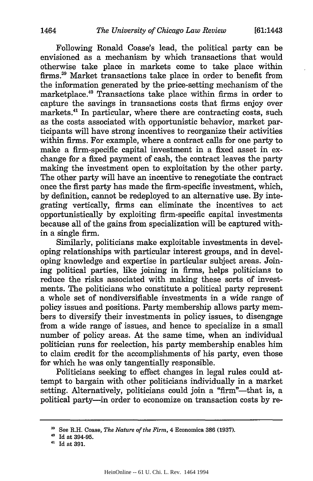Following Ronald Coase's lead, the political party can be envisioned as a mechanism by which transactions that would otherwise take place in markets come to take place within firms.<sup>39</sup> Market transactions take place in order to benefit from the information generated by the price-setting mechanism of the marketplace. 40 Transactions take place within firms in order to capture the savings in transactions costs that firms enjoy over markets.4' In particular, where there are contracting costs, such as the costs associated with opportunistic behavior, market participants will have strong incentives to reorganize their activities within firms. For example, where a contract calls for one party to make a firm-specific capital investment in a fixed asset in exchange for a fixed payment of cash, the contract leaves the party making the investment open to exploitation by the other party. The other party will have an incentive to renegotiate the contract once the first party has made the firm-specific investment, which, by definition, cannot be redeployed to an alternative use. By integrating vertically, firms can eliminate the incentives to act opportunistically by exploiting firm-specific capital investments because all of the gains from specialization will be captured within a single firm.

Similarly, politicians make exploitable investments in developing relationships with particular interest groups, and in developing knowledge and expertise in particular subject areas. Joining political parties, like joining in firms, helps politicians to reduce the risks associated with making these sorts of investments. The politicians who constitute a political party represent a whole set of nondiversifiable investments in a wide range of policy issues and positions. Party membership allows party members to diversify their investments in policy issues, to disengage from a wide range of issues, and hence to specialize in a small number of policy areas. At the same time, when an individual politician runs for reelection, his party membership enables him to claim credit for the accomplishments of his party, even those for which he was only tangentially responsible.

Politicians seeking to effect changes in legal rules could attempt to bargain with other politicians individually in a market setting. Alternatively, politicians could join a "firm"--that is, a political party-in order to economize on transaction costs by re-

**<sup>3&#</sup>x27;** See R.H. Coase, *The Nature of the Firm,* 4 Economica 386 (1937).

**<sup>40</sup>**Id at **394-95.**

 $41$  Id at 391.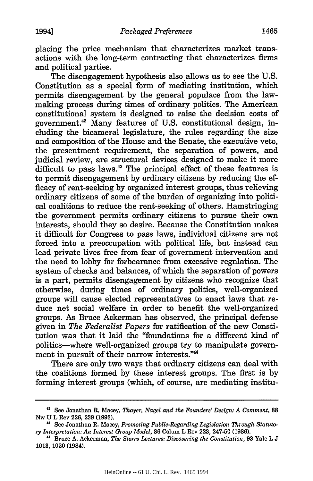placing the price mechanism that characterizes market transactions with the long-term contracting that characterizes firms and political parties.

The disengagement hypothesis also allows us to see the U.S. Constitution as a special form of mediating institution, which permits disengagement by the general populace from the lawmaking process during times of ordinary politics. The American constitutional system is designed to raise the decision costs of government.42 Many features of U.S. constitutional design, including the bicameral legislature, the rules regarding the size and composition of the House and the Senate, the executive veto, the presentment requirement, the separation of powers, and judicial review, are structural devices designed to make it more difficult to pass laws.<sup>43</sup> The principal effect of these features is to permit disengagement by ordinary citizens by reducing the efficacy of rent-seeking by organized interest groups, thus relieving ordinary citizens of some of the burden of organizing into political coalitions to reduce the rent-seeking of others. Hamstringing the government permits ordinary citizens to pursue their own interests, should they so desire. Because the Constitution makes it difficult for Congress to pass laws, individual citizens are not forced into a preoccupation with political life, but instead can lead private lives free from fear of government intervention and the need to lobby for forbearance from excessive regulation. The system of checks and balances, of which the separation of powers is a part, permits disengagement by citizens who recognize that otherwise, during times of ordinary politics, well-organized groups will cause elected representatives to enact laws that reduce net social welfare in order to benefit the well-organized groups. As Bruce Ackerman has observed, the principal defense given in *The Federalist Papers* for ratification of the new Constitution was that it laid the "foundations for a different kind of politics-where well-organized groups try to manipulate government in pursuit of their narrow interests."<sup>44</sup>

There are only two ways that ordinary citizens can deal with the coalitions formed by these interest groups. The first is by forming interest groups (which, of course, are mediating institu-

**<sup>42</sup>**See Jonathan R. Macey, *Thayer, Nagel and the Founders' Design: A Comment,* **88** Nw U L Rev 226, 239 (1993).

**<sup>&</sup>quot;** See Jonathan R. Macey, *Promoting Public-Regarding Legislation Through Statuto***ry** *Interpretation: An Interest Group Model,* **86** Colum L Rev **223,** 247-50 **(1986).**

**<sup>&#</sup>x27;** Bruce **A.** Ackerman, *The Storrs Lectures: Discovering the Constitution,* **93** Yale L **J 1013, 1020** (1984).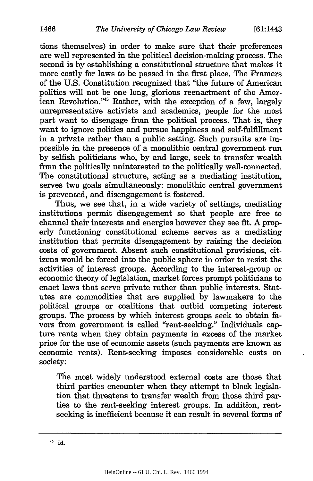tions themselves) in order to make sure that their preferences are well represented in the political decision-making process. The second is by establishing a constitutional structure that makes it more costly for laws to be passed in the first place. The Framers of the U.S. Constitution recognized that "the future of American politics will not be one long, glorious reenactment of the American Revolution."45 Rather, with the exception of a few, largely unrepresentative activists and academics, people for the most part want to disengage from the political process. That is, they want to ignore politics and pursue happiness and self-fulfillment in a private rather than a public setting. Such pursuits are impossible in the presence of a monolithic central government run by selfish politicians who, by and large, seek to transfer wealth from the politically uninterested to the politically well-connected. The constitutional structure, acting as a mediating institution, serves two goals simultaneously: monolithic central government is prevented, and disengagement is fostered.

Thus, we see that, in a wide variety of settings, mediating institutions permit disengagement so that people are free to channel their interests and energies however they see fit. A properly functioning constitutional scheme serves as a mediating institution that permits disengagement by raising the decision costs of government. Absent such constitutional provisions, citizens would be forced into the public sphere in order to resist the activities of interest groups. According to the interest-group or economic theory of legislation, market forces prompt politicians to enact laws that serve private rather than public interests. Statutes are commodities that are supplied by lawmakers to the political groups or coalitions that outbid competing interest groups. The process by which interest groups seek to obtain favors from government is called "rent-seeking." Individuals capture rents when they obtain payments in excess of the market price for the use of economic assets (such payments are known as economic rents). Rent-seeking imposes considerable costs on society:

The most widely understood external costs are those that third parties encounter when they attempt to block legislation that threatens to transfer wealth from those third parties to the rent-seeking interest groups. In addition, rentseeking is inefficient because it can result in several forms of

<sup>45</sup> Id.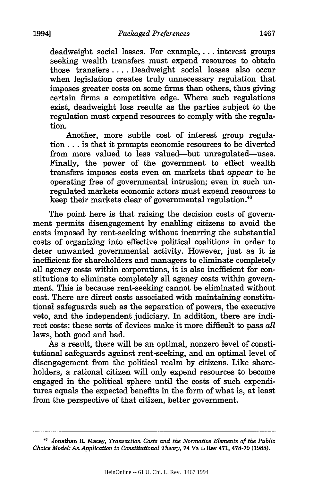deadweight social losses. For example,... interest groups seeking wealth transfers must expend resources to obtain those transfers .... Deadweight social losses also occur when legislation creates truly unnecessary regulation that imposes greater costs on some firms than others, thus giving certain firms a competitive edge. Where such regulations exist, deadweight loss results as the parties subject to the regulation must expend resources to comply with the regulation.

Another, more subtle cost of interest group regulation.., is that it prompts economic resources to be diverted from more valued to less valued-but unregulated-uses. Finally, the power of the government to effect wealth transfers imposes costs even on markets that *appear* to be operating free of governmental intrusion; even in such unregulated markets economic actors must expend resources to keep their markets clear of governmental regulation.<sup>46</sup>

The point here is that raising the decision costs of government permits disengagement by enabling citizens to avoid the costs imposed by rent-seeking without incurring the substantial costs of organizing into effective political coalitions in order to deter unwanted governmental activity. However, just as it is inefficient for shareholders and managers to eliminate completely all agency costs within corporations, it is also inefficient for constitutions to eliminate completely all agency costs within government. This is because rent-seeking cannot be eliminated without cost. There are direct costs associated with maintaining constitutional safeguards such as the separation of powers, the executive veto, and the independent judiciary. In addition, there are indirect costs: these sorts of devices make it more difficult to pass *all* laws, both good and bad.

As a result, there will be an optimal, nonzero level of constitutional safeguards against rent-seeking, and an optimal level of disengagement from the political realm by citizens. Like shareholders, a rational citizen will only expend resources to become engaged in the political sphere until the costs of such expenditures equals the expected benefits in the form of what is, at least from the perspective of that citizen, better government.

**<sup>&</sup>quot;6** Jonathan R. Macey, *Transaction Costs and the Normative Elements of the Public Choice Model: An Application to Constitutional Theory,* 74 Va L Rev 471, 478-79 (1988).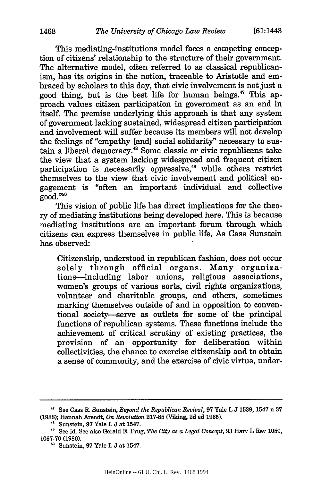This mediating-institutions model faces a competing conception of citizens' relationship to the structure of their government. The alternative model, often referred to as classical republicanism, has its origins in the notion, traceable to Aristotle and embraced by scholars to this day, that civic involvement is not just a good thing, but is the best life for human beings. $47$  This approach values citizen participation in government as an end in itself. The premise underlying this approach is that any system of government lacking sustained, widespread citizen participation and involvement will suffer because its members will not develop the feelings of "empathy [and] social solidarity" necessary to sustain a liberal democracy.<sup>48</sup> Some classic or civic republicans take the view that a system lacking widespread and frequent citizen participation is necessarily oppressive,<sup>49</sup> while others restrict themselves to the view that civic involvement and political engagement is "often an important individual and collective good."50

This vision of public life has direct implications for the theory of mediating institutions being developed here. This is because mediating institutions are an important forum through which citizens can express themselves in public life. As Cass Sunstein has observed:

Citizenship, understood in republican fashion, does not occur solely through official organs. Many organizations-including labor unions, religious associations, women's groups of various sorts, civil rights organizations, volunteer and charitable groups, and others, sometimes marking themselves outside of and in opposition to conventional society-serve as outlets for some of the principal functions of republican systems. These functions include the achievement of critical scrutiny of existing practices, the provision of an opportunity for deliberation within collectivities, the chance to exercise citizenship and to obtain a sense of community, and the exercise of civic virtue, under-

<sup>&#</sup>x27;T See Cass R. Sunstein, *Beyond the Republican Revival,* **97** Yale L **J 1539,** 1547 n **37** (1988); Hannah Arendt, *On Revolution* 217-85 (Viking, 2d ed 1965).

 $48$  Sunstein, 97 Yale L J at 1547.

<sup>4,</sup> See id. See also Gerald E. Frug, *The City as a Legal Concept,* 93 Harv L Rev **1059,** 1067-70 (1980).

**<sup>&#</sup>x27;** Sunstein, 97 Yale L J at 1547.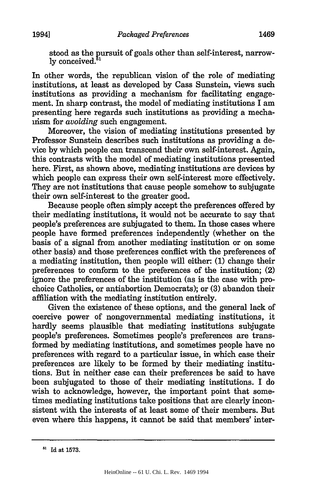stood as the pursuit of goals other than self-interest, narrow- $\rm{lv}$  conceived. $\rm{^{51}}$ 

In other words, the republican vision of the role of mediating institutions, at least as developed by Cass Sunstein, views such institutions as providing a mechanism for facilitating engagement. In sharp contrast, the model of mediating institutions I am presenting here regards such institutions as providing a mechanism for *avoiding* such engagement.

Moreover, the vision of mediating institutions presented by Professor Sunstein describes such institutions as providing a device by which people can transcend their own self-interest. Again, this contrasts with the model of mediating institutions presented here. First, as shown above, mediating institutions are devices by which people can express their own self-interest more effectively. They are not institutions that cause people somehow to subjugate their own self-interest to the greater good.

Because people often simply accept the preferences offered by their mediating institutions, it would not be accurate to say that people's preferences are subjugated to them. In those cases where people have formed preferences independently (whether on the basis of a signal from another mediating institution or on some other basis) and those preferences conflict with the preferences of a mediating institution, then people will either: (1) change their preferences to conform to the preferences of the institution; (2) ignore the preferences of the institution (as is the case with prochoice Catholics, or antiabortion Democrats); or (3) abandon their affiliation with the mediating institution entirely.

Given the existence of these options, and the general lack of coercive power of nongovernmental mediating institutions, it hardly seems plausible that mediating institutions subjugate people's preferences. Sometimes people's preferences are transformed by mediating institutions, and sometimes people have no preferences with regard to a particular issue, in which case their preferences are likely to be formed by their mediating institutions. But in neither case can their preferences be said to have been subjugated to those of their mediating institutions. I do wish to acknowledge, however, the important point that sometimes mediating institutions take positions that are clearly inconsistent with the interests of at least some of their members. But even where this happens, it cannot be said that members' inter-

**<sup>5&#</sup>x27; Id** at **1573.**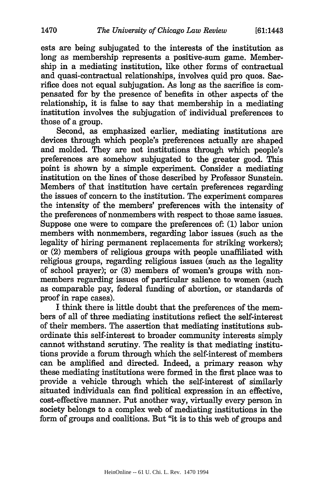ests are being subjugated to the interests of the institution as long as membership represents a positive-sum game. Membership in a mediating institution, like other forms of contractual and quasi-contractual relationships, involves quid pro quos. Sacrifice does not equal subjugation. As long as the sacrifice is compensated for by the presence of benefits in other aspects of the relationship, it is false to say that membership in a mediating institution involves the subjugation of individual preferences to those of a group.

Second, as emphasized earlier, mediating institutions are devices through which people's preferences actually are shaped and molded. They are not institutions through which people's preferences are somehow subjugated to the greater good. This point is shown by a simple experiment. Consider a mediating institution on the lines of those described by Professor Sunstein. Members of that institution have certain preferences regarding the issues of concern to the institution. The experiment compares the intensity of the members' preferences with the intensity of the preferences of nonmembers with respect to those same issues. Suppose one were to compare the preferences of: (1) labor union members with nonmembers, regarding labor issues (such as the legality of hiring permanent replacements for striking workers); or (2) members of religious groups with people unaffiliated with religious groups, regarding religious issues (such as the legality of school prayer); or (3) members of women's groups with nonmembers regarding issues of particular salience to women (such as comparable pay, federal funding of abortion, or standards of proof in rape cases).

I think there is little doubt that the preferences of the members of all of three mediating institutions reflect the self-interest of their members. The assertion that mediating institutions subordinate this self-interest to broader community interests simply cannot withstand scrutiny. The reality is that mediating institutions provide a forum through which the self-interest of members can be amplified and directed. Indeed, a primary reason why these mediating institutions were formed in the first place was to provide a vehicle through which the self-interest of similarly situated individuals can find political expression in an effective, cost-effective manner. Put another way, virtually every person in society belongs to a complex web of mediating institutions in the form of groups and coalitions. But "it is to this web of groups and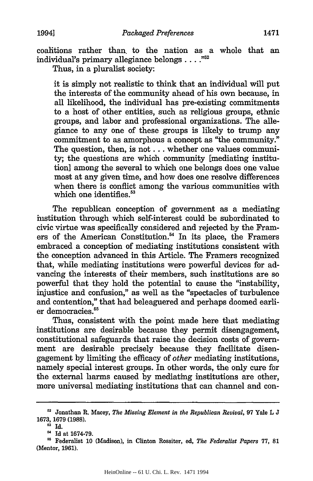coalitions rather than. to the nation as a whole that an individual's primary allegiance belongs  $\dots$ ."<sup>52</sup>

Thus, in a pluralist society:

it is simply not realistic to think that an individual will put the interests of the community ahead of his own because, in all likelihood, the individual has pre-existing commitments to a host of other entities, such as religious groups, ethnic groups, and labor and professional organizations. The allegiance to any one of these groups is likely to trump any commitment to as amorphous a concept as "the community." The question, then, is not.., whether one values community; the questions are which community [mediating institution] among the several to which one belongs does one value most at any given time, and how does one resolve differences when there is conflict among the various communities with which one identifies.<sup>53</sup>

The republican conception of government as a mediating institution through which self-interest could be subordinated to civic virtue was specifically considered and rejected by the Framers of the American Constitution.<sup>54</sup> In its place, the Framers embraced a conception of mediating institutions consistent with the conception advanced in this Article. The Framers recognized that, while mediating institutions were powerful devices for advancing the interests of their members, such institutions are so powerful that they hold the potential to cause the "instability, injustice and confusion," as well as the "spectacles of turbulence and contention," that had beleaguered and perhaps doomed earlier democracies.<sup>55</sup>

Thus, consistent with the point made here that mediating institutions are desirable because they permit disengagement, constitutional safeguards that raise the decision costs of government are desirable precisely because they facilitate disengagement by limiting the efficacy of *other* mediating institutions, namely special interest groups. In other words, the only cure for the external harms caused by mediating institutions are other, more universal mediating institutions that can channel and con-

**<sup>5</sup>**Id.

**<sup>62</sup>** Jonathan R. Macey, *The Missing Element in the Republican Revival,* **97** Yale L **J 1673, 1679 (1988).**

**<sup>5</sup>** Id at **1674-79.**

**<sup>&#</sup>x27;** Federalist **10** (Madison), in Clinton Rossiter, ed, *The Federalist Papers 77,* **81** (Mentor, **1961).**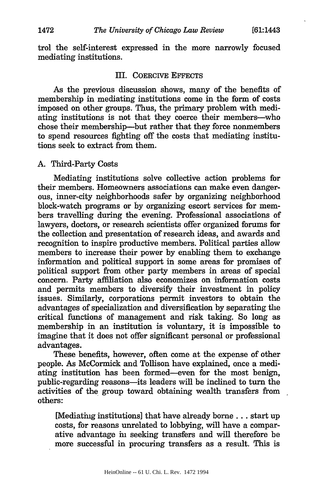trol the self-interest expressed in the more narrowly focused mediating institutions.

#### III. COERCIVE **EFFECTS**

As the previous discussion shows, many of the benefits of membership in mediating institutions come in the form of costs imposed on other groups. Thus, the primary problem with mediating institutions is not that they coerce their members-who chose their membership-but rather that they force nonmembers to spend resources fighting off the costs that mediating institutions seek to extract from them.

#### A. Third-Party Costs

Mediating institutions solve collective action problems for their members. Homeowners associations can make even dangerous, inner-city neighborhoods safer by organizing neighborhood block-watch programs or by organizing escort services for members travelling during the evening. Professional associations of lawyers, doctors, or research scientists offer organized forums for the collection and presentation of research ideas, and awards and recognition to inspire productive members. Political parties allow members to increase their power by enabling them to exchange information and political support in some areas for promises of political support from other party members in areas of special concern. Party affiliation also economizes on information costs and permits members to diversify their investment in policy issues. Similarly, corporations permit investors to obtain the advantages of specialization and diversification by separating the critical functions of management and risk taking. So long as membership in an institution is voluntary, it is impossible to imagine that it does not offer significant personal or professional advantages.

These benefits, however, often come at the expense of other people. As McCormick and Tollison have explained, once a mediating institution has been formed-even for the most benign, public-regarding reasons—its leaders will be inclined to turn the activities of the group toward obtaining wealth transfers from others:

[Mediating institutions] that have already borne.., start up costs, for reasons unrelated to lobbying, will have a comparative advantage in seeking transfers and will therefore be more successful in procuring transfers as a result. This is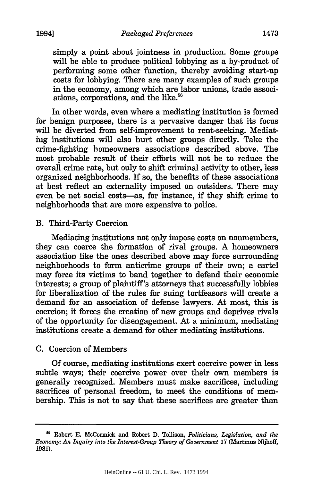simply a point about jointness in production. Some groups will be able to produce political lobbying as a by-product of performing some other function, thereby avoiding start-up costs for lobbying. There are many examples of such groups in the economy, among which are labor unions, trade associations, corporations, and the like.'

In other words, even where a mediating institution is formed for benign purposes, there is a pervasive danger that its focus will be diverted from self-improvement to rent-seeking. Mediating institutions will also hurt other groups directly. Take the crime-fighting homeowners associations described above. The most probable result of their efforts will not be to reduce the overall crime rate, but only to shift criminal activity to other, less organized neighborhoods. If so, the benefits of these associations at best reflect an externality imposed on outsiders. There may even be net social costs-as, for instance, if they shift crime to neighborhoods that are more expensive to police.

### B. Third-Party Coercion

Mediating institutions not only impose costs on nonmembers, they can coerce the formation of rival groups. A homeowners association like the ones described above may force surrounding neighborhoods to form anticrime groups of their own; a cartel may force its victims to band together to defend their economic interests; a group of plaintiff's attorneys that successfully lobbies for liberalization of the rules for suing tortfeasors will create a demand for an association of defense lawyers. At most, this is coercion; it forces the creation of new groups and deprives rivals of the opportunity for disengagement. At a minimum, mediating institutions create a demand for other mediating institutions.

#### C. Coercion of Members

Of course, mediating institutions exert coercive power in less subtle ways; their coercive power over their own members is generally recognized. Members must make sacrifices, including sacrifices of personal freedom, to meet the conditions of membership. This is not to say that these sacrifices are greater than

**<sup>&#</sup>x27;** Robert **E.** McCormick and Robert **D.** Tollison, *Politicians, Legislation, and the Economy: An Inquiry into the Interest-Group Theory of Government* **17** (Martinus Nijhoff, **1981).**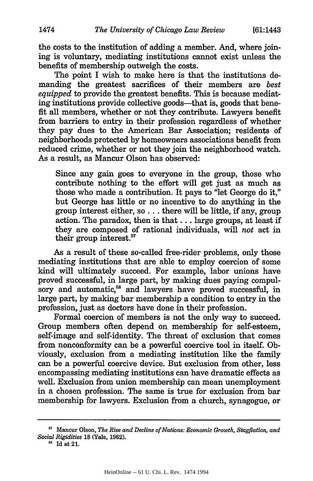the costs to the institution of adding a member. And, where joining is voluntary, mediating institutions cannot exist unless the benefits of membership outweigh the costs.

The point I wish to make here is that the institutions demanding the greatest sacrifices of their members are *best equipped* to provide the greatest benefits. This is because mediating institutions provide collective goods-that is, goods that benefit all members, whether or not they contribute. Lawyers benefit from barriers to entry in their profession regardless of whether they pay dues to the American Bar Association; residents of neighborhoods protected by homeowners associations benefit from reduced crime, whether or not they join the neighborhood watch. As a result, as Mancur Olson has observed:

Since any gain goes to everyone in the group, those who contribute nothing to the effort will get just as much as those who made a contribution. It pays to 'let George do it," but George has little or no incentive to do anything in the group interest either, so ... there will be little, if any, group action. The paradox, then is that.., large groups, at least if they are composed of rational individuals, will *not* act in their group interest. $57$ 

As a result of these so-called free-rider problems, only those mediating institutions that are able to employ coercion of some kind will ultimately succeed. For example, labor unions have proved successful, in large part, by making dues paying compulsory and automatic,<sup>58</sup> and lawyers have proved successful, in large part, by making bar membership a condition to entry in the profession, just as doctors have done in their profession.

Formal coercion of members is not the only way to succeed. Group members often depend on membership for self-esteem, self-image and self-identity. The threat of exclusion that comes from nonconformity can be a powerful coercive tool in itself. Obviously, exclusion from a mediating institution like the family can be a powerful coercive device. But exclusion from other, less encompassing mediating institutions can have dramatic effects as well. Exclusion from union membership can mean unemployment in a chosen profession. The same is true for exclusion from bar membership for lawyers. Exclusion from a church, synagogue, or

**<sup>&</sup>quot;'** Mancur Olson, *The Rise and Decline of Nations: Economic Growth, Stagflation, and Social Rigidities* **18** (Yale, **1962).**

**<sup>8</sup>** Id at 21.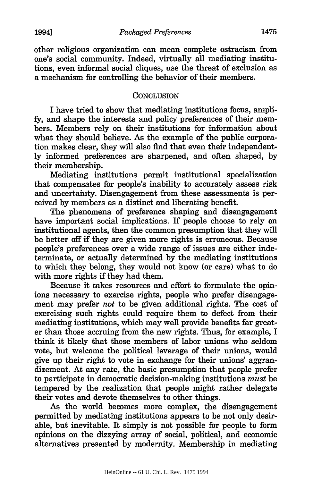other religious organization can mean complete ostracism from one's social community. Indeed, virtually all mediating institutions, even informal social cliques, use the threat of exclusion as a mechanism for controlling the behavior of their members.

### **CONCLUSION**

I have tried to show that mediating institutions focus, ampli**fy,** and shape the interests and policy preferences of their members. Members rely on their institutions for information about what they should believe. As the example of the public corporation makes clear, they will also find that even their independently informed preferences are sharpened, and often shaped, by their membership.

Mediating institutions permit institutional specialization that compensates for people's inability to accurately assess risk and uncertainty. Disengagement from these assessments is perceived by members as a distinct and liberating benefit.

The phenomena of preference shaping and disengagement have important social implications. If people choose to rely on institutional agents, then the common presumption that they will be better off if they are given more rights is erroneous. Because people's preferences over a wide range of issues are either indeterminate, or actually determined by the mediating institutions to which they belong, they would not know (or care) what to do with more rights if they had them.

Because it takes resources and effort to formulate the opinions necessary to exercise rights, people who prefer disengagement may prefer *not* to be given additional rights. The cost of exercising such rights could require them to defect from their mediating institutions, which may well provide benefits far greater than those accruing from the new rights. Thus, for example, I think it likely that those members of labor unions who seldom vote, but welcome the political leverage of their unions, would give up their right to vote in exchange for their unions' aggrandizement. At any rate, the basic presumption that people prefer to participate in democratic decision-making institutions *must* be tempered by the realization that people might rather delegate their votes and devote themselves to other things.

As the world becomes more complex, the disengagement permitted by mediating institutions appears to be not only desirable, but inevitable. It simply is not possible for people to form opinions on the dizzying array of social, political, and economic alternatives presented by modernity. Membership in mediating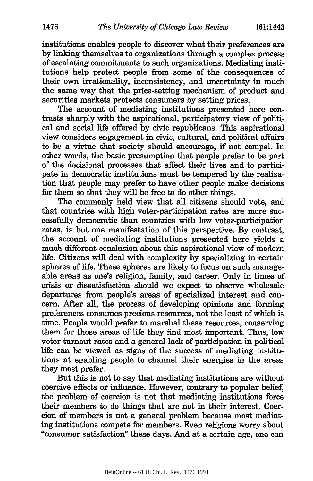institutions enables people to discover what their preferences are by linking themselves to organizations through a complex process of escalating commitments to such organizations. Mediating institutions help protect people from some of the consequences of their own irrationality, inconsistency, and uncertainty in much the same way that the price-setting mechanism of product and securities markets protects consumers by setting prices.

The account of mediating institutions presented here contrasts sharply with the aspirational, participatory view of political and social life offered by civic republicans. This aspirational view considers engagement in civic, cultural, and political affairs to be a virtue that society should encourage, if not compel. In other words, the basic presumption that people prefer to be part of the decisional processes that affect their lives and to participate in democratic institutions must be tempered by the realization that people may prefer to have other people make decisions for them so that they will be free to do other things.

The commonly held view that all citizens should vote, and that countries with high voter-participation rates are more successfully democratic than countries with low voter-participation rates, is but one manifestation of this perspective. By contrast, the account of mediating institutions presented here yields a much different conclusion about this aspirational view of modern life. Citizens will deal with complexity by specializing in certain spheres of life. These spheres are likely to focus on such manageable areas as one's religion, family, and career. Only in times of crisis or dissatisfaction should we expect to observe wholesale departures from people's areas of specialized interest and concern. After all, the process of developing opinions and forming preferences consumes precious resources, not the least of which is time. People would prefer to marshal these resources, conserving them for those areas of life they find most important. Thus, low voter turnout rates and a general lack of participation in political life can be viewed as signs of the success of mediating institutions at enabling people to channel their energies in the areas they most prefer.

But this is not to say that mediating institutions are without coercive effects or influence. However, contrary to popular belief, the problem of coercion is not that mediating institutions force their members to do things that are not in their interest. Coercion of members is not a general problem because most mediating institutions compete for members. Even religions worry about "consumer satisfaction" these days. And at a certain age, one can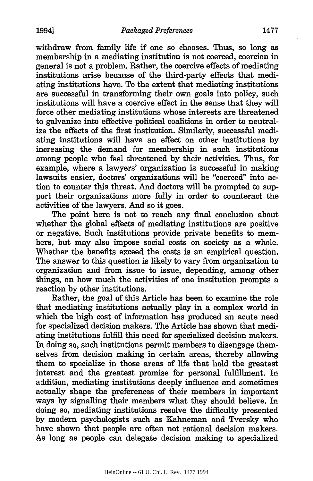withdraw from family life if one so chooses. Thus, so long as membership in a mediating institution is not coerced, coercion in general is not a problem. Rather, the coercive effects of mediating institutions arise because of the third-party effects that mediating institutions have. To the extent that mediating institutions are successful in transforming their own goals into policy, such institutions will have a coercive effect in the sense that they will force other mediating institutions whose interests are threatened to galvanize into effective political coalitions in order to neutralize the effects of the first institution. Similarly, successful mediating institutions will have an effect on other institutions by increasing the demand for membership in such institutions among people who feel threatened by their activities. Thus, for example, where a lawyers' organization is successful in making lawsuits easier, doctors' organizations will be "coerced" into action to counter this threat. And doctors will be prompted to support their organizations more fully in order to counteract the activities of the lawyers. And so it goes.

The point here is not to reach any final conclusion about whether the global effects of mediating institutions are positive or negative. Such institutions provide private benefits to members, but may also impose social costs on society as a whole. Whether the benefits exceed the costs is an empirical question. The answer to this question is likely to vary from organization to organization and from issue to issue, depending, among other things, on how much the activities of one institution prompts a reaction by other institutions.

Rather, the goal of this Article has been to examine the role that mediating institutions actually play in a complex world in which the high cost of information has produced an acute need for specialized decision makers. The Article has shown that mediating institutions fulfill this need for specialized decision makers. In doing so, such institutions permit members to disengage themselves from decision making in certain areas, thereby allowing them to specialize in those areas of life that hold the greatest interest and the greatest promise for personal fulfillment. In addition, mediating institutions deeply influence and sometimes actually shape the preferences of their members in important ways by signalling their members what they should believe. In doing so, mediating institutions resolve the difficulty presented by modern psychologists such as Kahneman and Tversky who have shown that people are often not rational decision makers. As long as people can delegate decision making to specialized